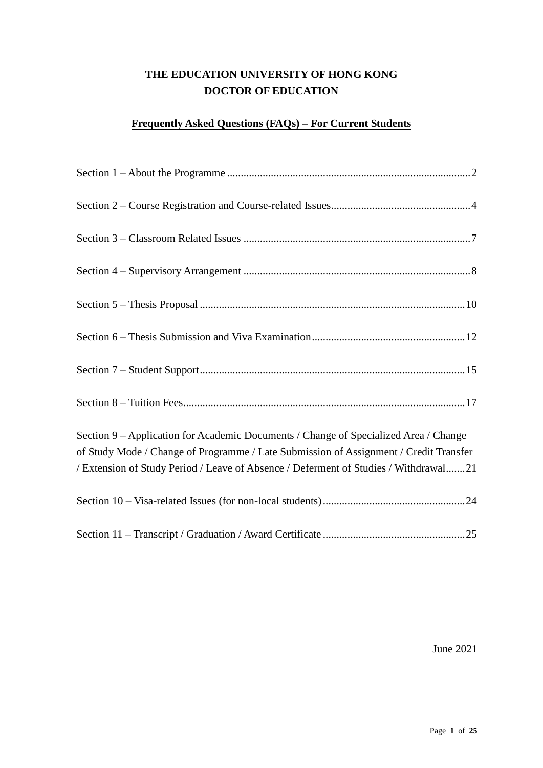# **THE EDUCATION UNIVERSITY OF HONG KONG DOCTOR OF EDUCATION**

# **Frequently Asked Questions (FAQs) – For Current Students**

| Section 9 – Application for Academic Documents / Change of Specialized Area / Change<br>of Study Mode / Change of Programme / Late Submission of Assignment / Credit Transfer<br>/ Extension of Study Period / Leave of Absence / Deferment of Studies / Withdrawal21 |
|-----------------------------------------------------------------------------------------------------------------------------------------------------------------------------------------------------------------------------------------------------------------------|
|                                                                                                                                                                                                                                                                       |
|                                                                                                                                                                                                                                                                       |

June 2021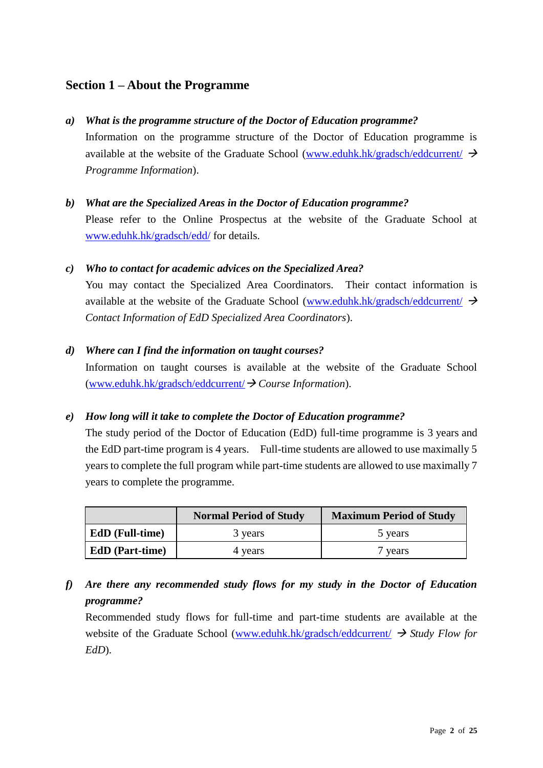# <span id="page-1-0"></span>**Section 1 – About the Programme**

### *a) What is the programme structure of the Doctor of Education programme?*

Information on the programme structure of the Doctor of Education programme is available at the website of the Graduate School [\(www.eduhk.hk/gradsch/eddcurrent/](http://www.ied.edu.hk/gradsch/eddcurrent/) $\rightarrow$ *Programme Information*).

# *b) What are the Specialized Areas in the Doctor of Education programme?* Please refer to the Online Prospectus at the website of the Graduate School at [www.eduhk.hk/gradsch/edd/](http://www.ied.edu.hk/gradsch/edd/) for details.

### *c) Who to contact for academic advices on the Specialized Area?*

You may contact the Specialized Area Coordinators. Their contact information is available at the website of the Graduate School [\(www.eduhk.hk/gradsch/eddcurrent/](http://www.ied.edu.hk/gradsch/eddcurrent/)  $\rightarrow$ *Contact Information of EdD Specialized Area Coordinators*).

#### *d) Where can I find the information on taught courses?*

Information on taught courses is available at the website of the Graduate School [\(www.eduhk.hk/gradsch/eddcurrent/](http://www.ied.edu.hk/gradsch/eddcurrent/)→ *Course Information*).

#### *e) How long will it take to complete the Doctor of Education programme?*

The study period of the Doctor of Education (EdD) full-time programme is 3 years and the EdD part-time program is 4 years. Full-time students are allowed to use maximally 5 years to complete the full program while part-time students are allowed to use maximally 7 years to complete the programme.

| <b>Maximum Period of Study</b><br><b>Normal Period of Study</b> |         |         |  |
|-----------------------------------------------------------------|---------|---------|--|
| <b>EdD</b> (Full-time)                                          | 3 years | 5 years |  |
| <b>EdD</b> (Part-time)                                          | 4 years | 7 years |  |

*f) Are there any recommended study flows for my study in the Doctor of Education programme?*

Recommended study flows for full-time and part-time students are available at the website of the Graduate School [\(www.eduhk.hk/gradsch/eddcurrent/](http://www.ied.edu.hk/gradsch/eddcurrent/) → *Study Flow for EdD*).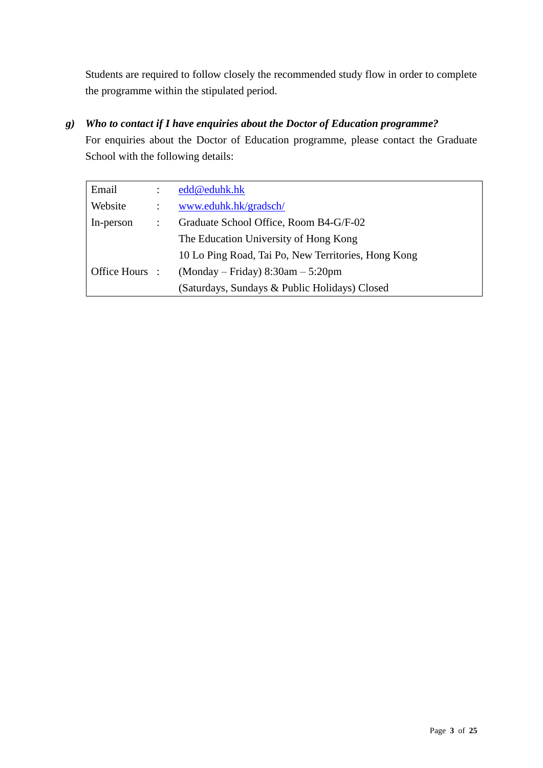Students are required to follow closely the recommended study flow in order to complete the programme within the stipulated period.

*g) Who to contact if I have enquiries about the Doctor of Education programme?*

For enquiries about the Doctor of Education programme, please contact the Graduate School with the following details:

| Email          |                | edd@eduhk.hk                                        |
|----------------|----------------|-----------------------------------------------------|
| Website        |                | www.eduhk.hk/gradsch/                               |
| In-person      | $\ddot{\cdot}$ | Graduate School Office, Room B4-G/F-02              |
|                |                | The Education University of Hong Kong               |
|                |                | 10 Lo Ping Road, Tai Po, New Territories, Hong Kong |
| Office Hours : |                | $(Monday-Friday) 8:30am - 5:20pm$                   |
|                |                | (Saturdays, Sundays & Public Holidays) Closed       |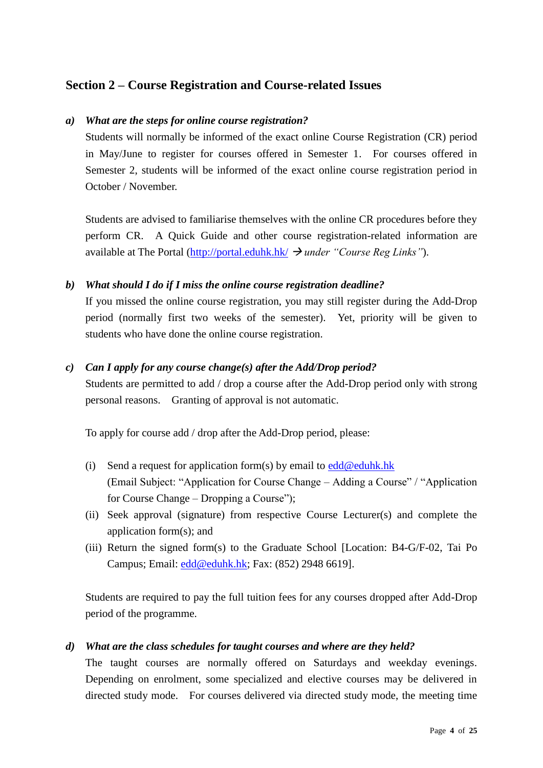# <span id="page-3-0"></span>**Section 2 – Course Registration and Course-related Issues**

### *a) What are the steps for online course registration?*

Students will normally be informed of the exact online Course Registration (CR) period in May/June to register for courses offered in Semester 1. For courses offered in Semester 2, students will be informed of the exact online course registration period in October / November.

Students are advised to familiarise themselves with the online CR procedures before they perform CR. A Quick Guide and other course registration-related information are available at The Portal [\(http://portal.eduhk.hk/](https://my2.ied.edu.hk/) → *under "Course Reg Links"*).

### *b) What should I do if I miss the online course registration deadline?*

If you missed the online course registration, you may still register during the Add-Drop period (normally first two weeks of the semester). Yet, priority will be given to students who have done the online course registration.

### *c) Can I apply for any course change(s) after the Add/Drop period?*

Students are permitted to add / drop a course after the Add-Drop period only with strong personal reasons. Granting of approval is not automatic.

To apply for course add / drop after the Add-Drop period, please:

- (i) Send a request for application form(s) by email to  $edd@eduhk.hk$ (Email Subject: "Application for Course Change – Adding a Course" / "Application for Course Change – Dropping a Course");
- (ii) Seek approval (signature) from respective Course Lecturer(s) and complete the application form(s); and
- (iii) Return the signed form(s) to the Graduate School [Location: B4-G/F-02, Tai Po Campus; Email: [edd@eduhk.hk;](mailto:edd@eduhk.hk) Fax: (852) 2948 6619].

Students are required to pay the full tuition fees for any courses dropped after Add-Drop period of the programme.

# *d) What are the class schedules for taught courses and where are they held?*

The taught courses are normally offered on Saturdays and weekday evenings. Depending on enrolment, some specialized and elective courses may be delivered in directed study mode. For courses delivered via directed study mode, the meeting time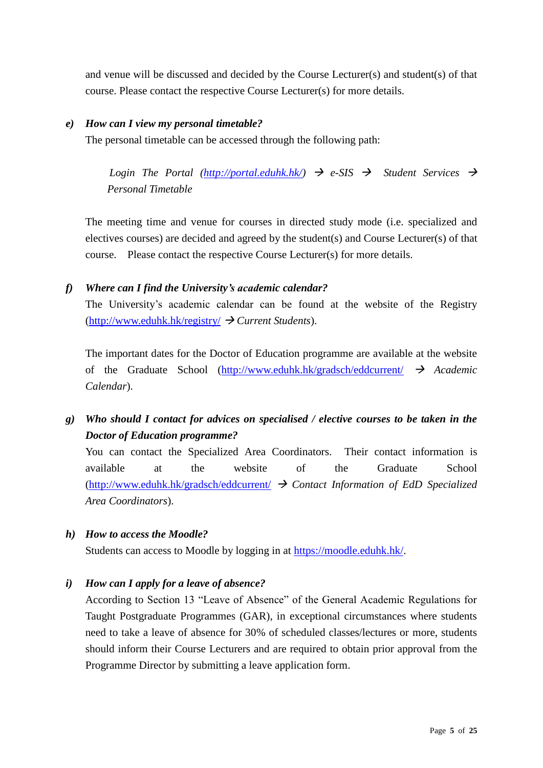and venue will be discussed and decided by the Course Lecturer(s) and student(s) of that course. Please contact the respective Course Lecturer(s) for more details.

### *e) How can I view my personal timetable?*

The personal timetable can be accessed through the following path:

*Login The Portal*  $\frac{http://portal.eduhk,hk/}{dt}$   $\rightarrow$  *e-SIS*  $\rightarrow$  *Student Services*  $\rightarrow$ *Personal Timetable*

The meeting time and venue for courses in directed study mode (i.e. specialized and electives courses) are decided and agreed by the student(s) and Course Lecturer(s) of that course. Please contact the respective Course Lecturer(s) for more details.

# *f) Where can I find the University's academic calendar?*

The University's academic calendar can be found at the website of the Registry [\(http://www.eduhk.hk/registry/](http://www.eduhk.hk/registry/) → *Current Students*).

The important dates for the Doctor of Education programme are available at the website of the Graduate School [\(http://www.eduhk.hk/gradsch/eddcurrent/](http://www.eduhk.hk/gradsch/eddcurrent/) → *Academic Calendar*).

# *g) Who should I contact for advices on specialised / elective courses to be taken in the Doctor of Education programme?*

You can contact the Specialized Area Coordinators. Their contact information is available at the website of the Graduate School [\(http://www.eduhk.hk/gradsch/eddcurrent/](http://www.eduhk.hk/gradsch/eddcurrent/) → *Contact Information of EdD Specialized Area Coordinators*).

*h) How to access the Moodle?*

Students can access to Moodle by logging in at [https://moodle.eduhk.hk/.](https://moodle.ied.edu.hk/)

*i) How can I apply for a leave of absence?*

According to Section 13 "Leave of Absence" of the General Academic Regulations for Taught Postgraduate Programmes (GAR), in exceptional circumstances where students need to take a leave of absence for 30% of scheduled classes/lectures or more, students should inform their Course Lecturers and are required to obtain prior approval from the Programme Director by submitting a leave application form.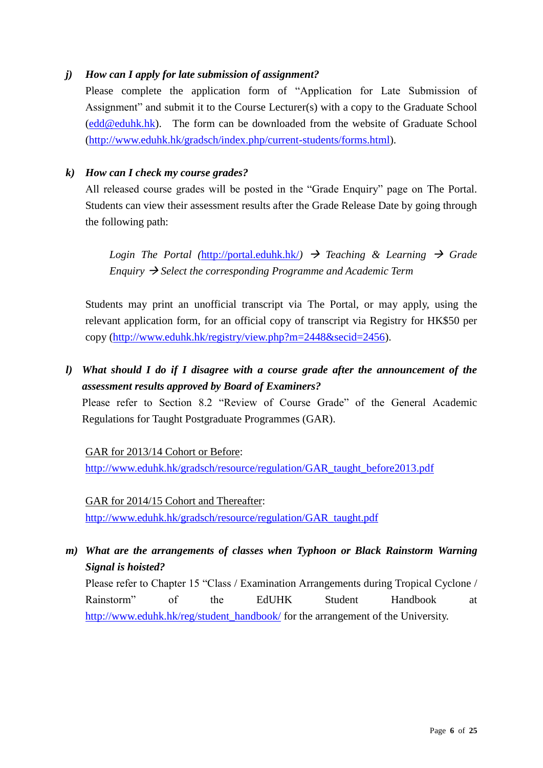# *j) How can I apply for late submission of assignment?*

Please complete the application form of "Application for Late Submission of Assignment" and submit it to the Course Lecturer(s) with a copy to the Graduate School [\(edd@eduhk.hk\)](mailto:edd@ied.edu.hk). The form can be downloaded from the website of Graduate School [\(http://www.eduhk.hk/gradsch/index.php/current-students/forms.html\)](http://www.eduhk.hk/gradsch/index.php/current-students/forms.html).

# *k) How can I check my course grades?*

All released course grades will be posted in the "Grade Enquiry" page on The Portal. Students can view their assessment results after the Grade Release Date by going through the following path:

*Login The Portal ([http://portal.eduhk.hk/](https://my2.ied.edu.hk/))*  $\rightarrow$  *Teaching & Learning*  $\rightarrow$  *Grade Enquiry* → *Select the corresponding Programme and Academic Term*

Students may print an unofficial transcript via The Portal, or may apply, using the relevant application form, for an official copy of transcript via Registry for HK\$50 per copy [\(http://www.eduhk.hk/registry/view.php?m=2448&secid=2456\)](http://www.eduhk.hk/registry/view.php?m=2448&secid=2456).

*l) What should I do if I disagree with a course grade after the announcement of the assessment results approved by Board of Examiners?*

Please refer to Section 8.2 "Review of Course Grade" of the General Academic Regulations for Taught Postgraduate Programmes (GAR).

GAR for 2013/14 Cohort or Before:

[http://www.eduhk.hk/gradsch/resource/regulation/GAR\\_taught\\_before2013.pdf](http://www.eduhk.hk/gradsch/resource/regulation/GAR_taught_before2013.pdf)

GAR for 2014/15 Cohort and Thereafter: [http://www.eduhk.hk/gradsch/resource/regulation/GAR\\_taught.pdf](http://www.eduhk.hk/gradsch/resource/regulation/GAR_taught.pdf)

*m) What are the arrangements of classes when Typhoon or Black Rainstorm Warning Signal is hoisted?*

Please refer to Chapter 15 "Class / Examination Arrangements during Tropical Cyclone / Rainstorm" of the EdUHK Student Handbook at [http://www.eduhk.hk/reg/student\\_handbook/](http://www.eduhk.hk/reg/student_handbook/) for the arrangement of the University.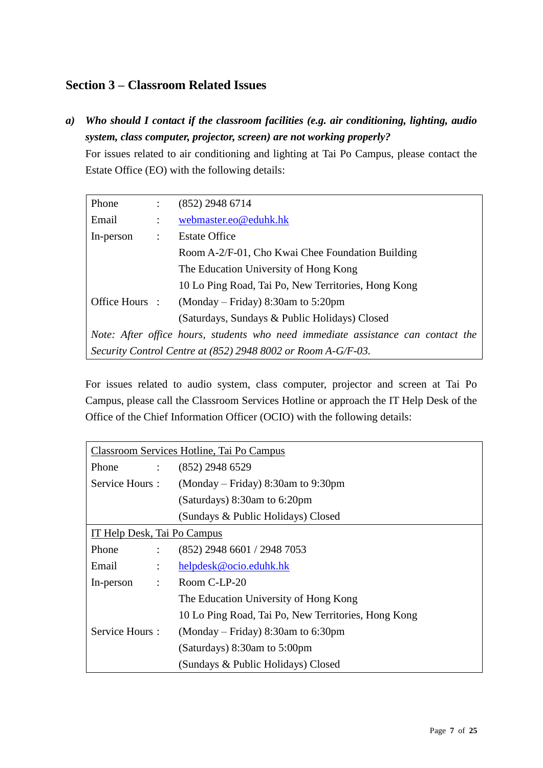# <span id="page-6-0"></span>**Section 3 – Classroom Related Issues**

*a) Who should I contact if the classroom facilities (e.g. air conditioning, lighting, audio system, class computer, projector, screen) are not working properly?*

For issues related to air conditioning and lighting at Tai Po Campus, please contact the Estate Office (EO) with the following details:

| Phone          | $\ddot{\phantom{a}}$ | $(852)$ 2948 6714                                                                |
|----------------|----------------------|----------------------------------------------------------------------------------|
| Email          | $\ddot{\cdot}$       | webmaster.eo@eduhk.hk                                                            |
| In-person      | $\ddot{\cdot}$       | <b>Estate Office</b>                                                             |
|                |                      | Room A-2/F-01, Cho Kwai Chee Foundation Building                                 |
|                |                      | The Education University of Hong Kong                                            |
|                |                      | 10 Lo Ping Road, Tai Po, New Territories, Hong Kong                              |
| Office Hours : |                      | $(Monday - Friday) 8:30am$ to 5:20pm                                             |
|                |                      | (Saturdays, Sundays & Public Holidays) Closed                                    |
|                |                      | Note: After office hours, students who need immediate assistance can contact the |
|                |                      | Security Control Centre at (852) 2948 8002 or Room A-G/F-03.                     |

For issues related to audio system, class computer, projector and screen at Tai Po Campus, please call the Classroom Services Hotline or approach the IT Help Desk of the Office of the Chief Information Officer (OCIO) with the following details:

|                | Classroom Services Hotline, Tai Po Campus |                                                     |  |
|----------------|-------------------------------------------|-----------------------------------------------------|--|
| Phone          | $\mathcal{L}$                             | $(852)$ 2948 6529                                   |  |
| Service Hours: |                                           | $(Monday-Friday) 8:30am$ to 9:30pm                  |  |
|                |                                           | (Saturdays) $8:30$ am to $6:20$ pm                  |  |
|                |                                           | (Sundays & Public Holidays) Closed                  |  |
|                | IT Help Desk, Tai Po Campus               |                                                     |  |
| Phone          | $\mathcal{L}$                             | (852) 2948 6601 / 2948 7053                         |  |
| Email          | $\ddot{\phantom{a}}$                      | helpdesk@ocio.eduhk.hk                              |  |
| In-person      | $\ddot{\phantom{a}}$                      | Room C-LP-20                                        |  |
|                |                                           | The Education University of Hong Kong               |  |
|                |                                           | 10 Lo Ping Road, Tai Po, New Territories, Hong Kong |  |
| Service Hours: |                                           | $(Monday - Friday) 8:30am$ to 6:30pm                |  |
|                |                                           | (Saturdays) $8:30$ am to $5:00$ pm                  |  |
|                |                                           | (Sundays & Public Holidays) Closed                  |  |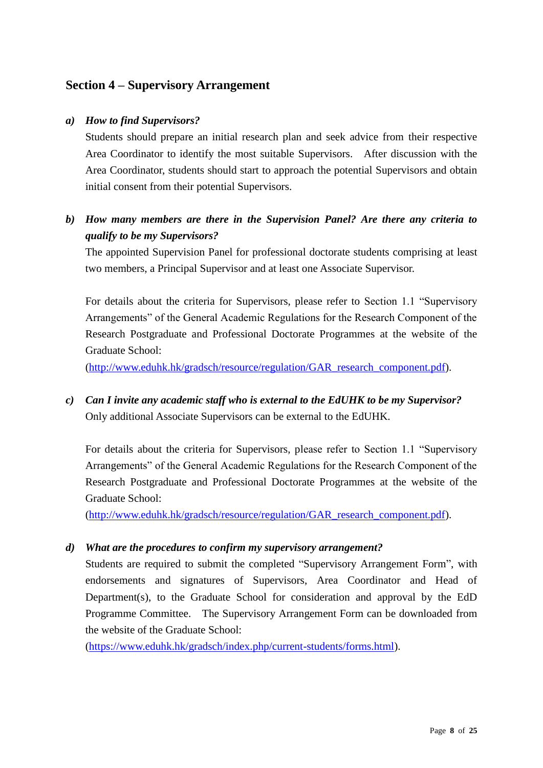# <span id="page-7-0"></span>**Section 4 – Supervisory Arrangement**

### *a) How to find Supervisors?*

Students should prepare an initial research plan and seek advice from their respective Area Coordinator to identify the most suitable Supervisors. After discussion with the Area Coordinator, students should start to approach the potential Supervisors and obtain initial consent from their potential Supervisors.

# *b) How many members are there in the Supervision Panel? Are there any criteria to qualify to be my Supervisors?*

The appointed Supervision Panel for professional doctorate students comprising at least two members, a Principal Supervisor and at least one Associate Supervisor.

For details about the criteria for Supervisors, please refer to Section 1.1 "Supervisory Arrangements" of the General Academic Regulations for the Research Component of the Research Postgraduate and Professional Doctorate Programmes at the website of the Graduate School:

[\(http://www.eduhk.hk/gradsch/resource/regulation/GAR\\_research\\_component.pdf\)](http://www.eduhk.hk/gradsch/resource/regulation/GAR_research_component.pdf).

*c) Can I invite any academic staff who is external to the EdUHK to be my Supervisor?* Only additional Associate Supervisors can be external to the EdUHK.

For details about the criteria for Supervisors, please refer to Section 1.1 "Supervisory Arrangements" of the General Academic Regulations for the Research Component of the Research Postgraduate and Professional Doctorate Programmes at the website of the Graduate School:

[\(http://www.eduhk.hk/gradsch/resource/regulation/GAR\\_research\\_component.pdf\)](http://www.eduhk.hk/gradsch/resource/regulation/GAR_research_component.pdf).

#### *d) What are the procedures to confirm my supervisory arrangement?*

Students are required to submit the completed "Supervisory Arrangement Form", with endorsements and signatures of Supervisors, Area Coordinator and Head of Department(s), to the Graduate School for consideration and approval by the EdD Programme Committee. The Supervisory Arrangement Form can be downloaded from the website of the Graduate School:

[\(https://www.eduhk.hk/gradsch/index.php/current-students/forms.html\)](https://www.eduhk.hk/gradsch/index.php/current-students/forms.html).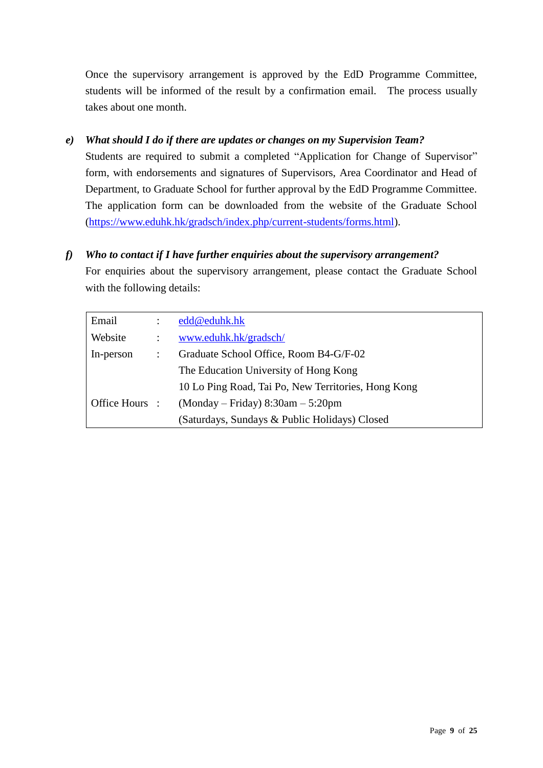Once the supervisory arrangement is approved by the EdD Programme Committee, students will be informed of the result by a confirmation email. The process usually takes about one month.

# *e) What should I do if there are updates or changes on my Supervision Team?*

Students are required to submit a completed "Application for Change of Supervisor" form, with endorsements and signatures of Supervisors, Area Coordinator and Head of Department, to Graduate School for further approval by the EdD Programme Committee. The application form can be downloaded from the website of the Graduate School [\(https://www.eduhk.hk/gradsch/index.php/current-students/forms.html\)](https://www.eduhk.hk/gradsch/index.php/current-students/forms.html).

*f) Who to contact if I have further enquiries about the supervisory arrangement?*

For enquiries about the supervisory arrangement, please contact the Graduate School with the following details:

| Email          | edd@eduhk.hk                                        |
|----------------|-----------------------------------------------------|
| Website        | www.eduhk.hk/gradsch/                               |
| In-person      | Graduate School Office, Room B4-G/F-02              |
|                | The Education University of Hong Kong               |
|                | 10 Lo Ping Road, Tai Po, New Territories, Hong Kong |
| Office Hours : | $(Monday - Friday) 8:30am - 5:20pm$                 |
|                | (Saturdays, Sundays & Public Holidays) Closed       |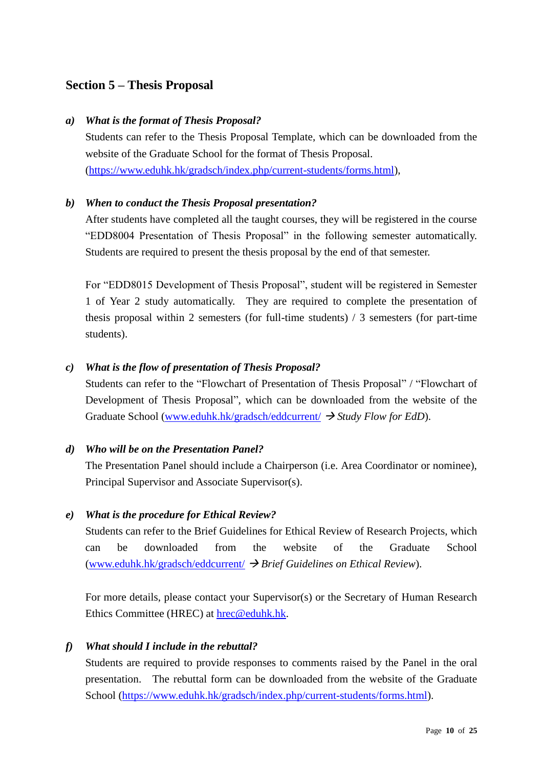# <span id="page-9-0"></span>**Section 5 – Thesis Proposal**

#### *a) What is the format of Thesis Proposal?*

Students can refer to the Thesis Proposal Template, which can be downloaded from the website of the Graduate School for the format of Thesis Proposal. [\(https://www.eduhk.hk/gradsch/index.php/current-students/forms.html\)](https://www.ied.edu.hk/gradsch/index.php/current-students/forms.html),

### *b) When to conduct the Thesis Proposal presentation?*

After students have completed all the taught courses, they will be registered in the course "EDD8004 Presentation of Thesis Proposal" in the following semester automatically. Students are required to present the thesis proposal by the end of that semester.

For "EDD8015 Development of Thesis Proposal", student will be registered in Semester 1 of Year 2 study automatically. They are required to complete the presentation of thesis proposal within 2 semesters (for full-time students) / 3 semesters (for part-time students).

#### *c) What is the flow of presentation of Thesis Proposal?*

Students can refer to the "Flowchart of Presentation of Thesis Proposal" / "Flowchart of Development of Thesis Proposal", which can be downloaded from the website of the Graduate School [\(www.eduhk.hk/gradsch/eddcurrent/](http://www.ied.edu.hk/gradsch/eddcurrent/) → *Study Flow for EdD*).

#### *d) Who will be on the Presentation Panel?*

The Presentation Panel should include a Chairperson (i.e. Area Coordinator or nominee), Principal Supervisor and Associate Supervisor(s).

#### *e) What is the procedure for Ethical Review?*

Students can refer to the Brief Guidelines for Ethical Review of Research Projects, which can be downloaded from the website of the Graduate School [\(www.eduhk.hk/gradsch/eddcurrent/](http://www.ied.edu.hk/gradsch/eddcurrent/) → *Brief Guidelines on Ethical Review*).

For more details, please contact your Supervisor(s) or the Secretary of Human Research Ethics Committee (HREC) at [hrec@eduhk.hk.](mailto:hrec@ied.edu.hk)

### *f) What should I include in the rebuttal?*

Students are required to provide responses to comments raised by the Panel in the oral presentation. The rebuttal form can be downloaded from the website of the Graduate School [\(https://www.eduhk.hk/gradsch/index.php/current-students/forms.html\)](https://www.ied.edu.hk/gradsch/index.php/current-students/forms.html).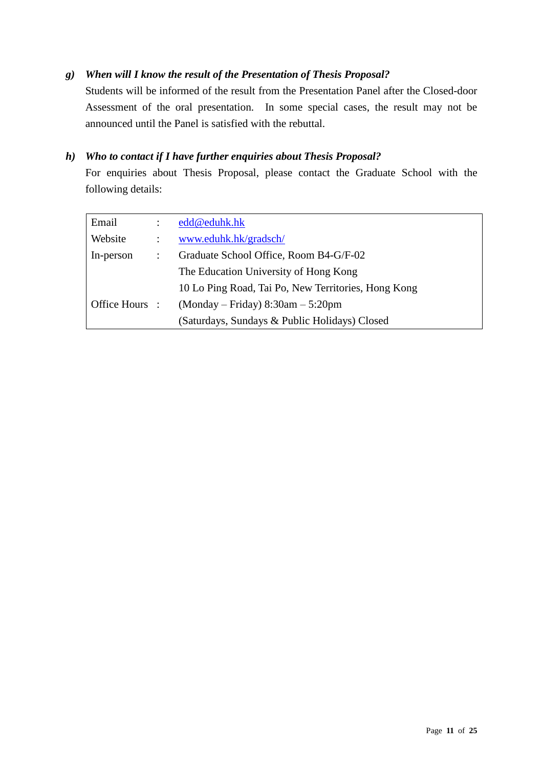# *g) When will I know the result of the Presentation of Thesis Proposal?*

Students will be informed of the result from the Presentation Panel after the Closed-door Assessment of the oral presentation. In some special cases, the result may not be announced until the Panel is satisfied with the rebuttal.

## *h) Who to contact if I have further enquiries about Thesis Proposal?*

For enquiries about Thesis Proposal, please contact the Graduate School with the following details:

| Email          |   | edd@eduhk.hk                                        |
|----------------|---|-----------------------------------------------------|
| Website        |   | www.eduhk.hk/gradsch/                               |
| In-person      | ÷ | Graduate School Office, Room B4-G/F-02              |
|                |   | The Education University of Hong Kong               |
|                |   | 10 Lo Ping Road, Tai Po, New Territories, Hong Kong |
| Office Hours : |   | $(Monday - Friday) 8:30am - 5:20pm$                 |
|                |   | (Saturdays, Sundays & Public Holidays) Closed       |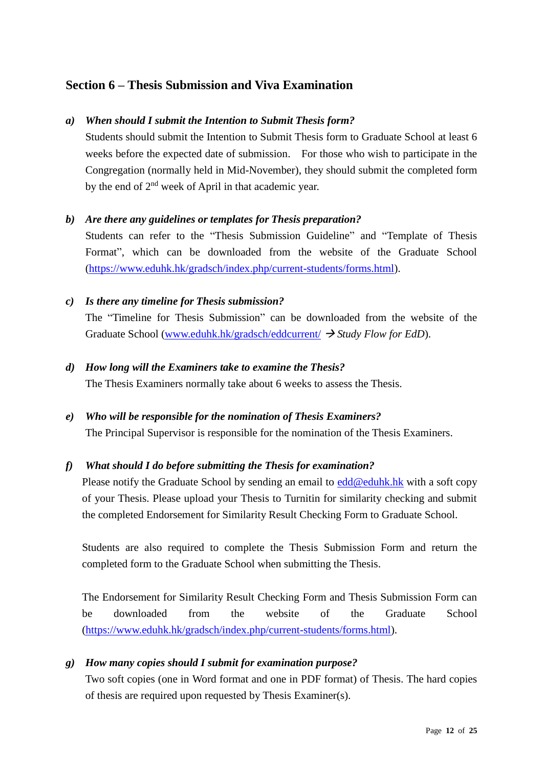# <span id="page-11-0"></span>**Section 6 – Thesis Submission and Viva Examination**

## *a) When should I submit the Intention to Submit Thesis form?*

Students should submit the Intention to Submit Thesis form to Graduate School at least 6 weeks before the expected date of submission. For those who wish to participate in the Congregation (normally held in Mid-November), they should submit the completed form by the end of 2<sup>nd</sup> week of April in that academic year.

### *b) Are there any guidelines or templates for Thesis preparation?*

Students can refer to the "Thesis Submission Guideline" and "Template of Thesis Format", which can be downloaded from the website of the Graduate School [\(https://www.eduhk.hk/gradsch/index.php/current-students/forms.html\)](https://www.ied.edu.hk/gradsch/index.php/current-students/forms.html).

### *c) Is there any timeline for Thesis submission?*

The "Timeline for Thesis Submission" can be downloaded from the website of the Graduate School [\(www.eduhk.hk/gradsch/eddcurrent/](http://www.ied.edu.hk/gradsch/eddcurrent/) → *Study Flow for EdD*).

#### *d) How long will the Examiners take to examine the Thesis?*

The Thesis Examiners normally take about 6 weeks to assess the Thesis.

#### *e) Who will be responsible for the nomination of Thesis Examiners?*

The Principal Supervisor is responsible for the nomination of the Thesis Examiners.

# *f) What should I do before submitting the Thesis for examination?*

Please notify the Graduate School by sending an email to [edd@eduhk.hk](mailto:edd@ied.edu.hk) with a soft copy of your Thesis. Please upload your Thesis to Turnitin for similarity checking and submit the completed Endorsement for Similarity Result Checking Form to Graduate School.

Students are also required to complete the Thesis Submission Form and return the completed form to the Graduate School when submitting the Thesis.

The Endorsement for Similarity Result Checking Form and Thesis Submission Form can be downloaded from the website of the Graduate School [\(https://www.eduhk.hk/gradsch/index.php/current-students/forms.html\)](https://www.ied.edu.hk/gradsch/index.php/current-students/forms.html).

# *g) How many copies should I submit for examination purpose?*

Two soft copies (one in Word format and one in PDF format) of Thesis. The hard copies of thesis are required upon requested by Thesis Examiner(s).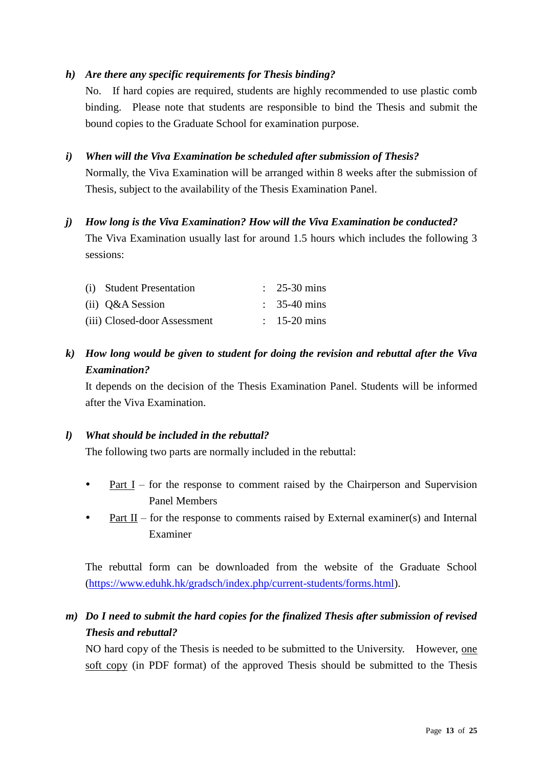## *h) Are there any specific requirements for Thesis binding?*

No. If hard copies are required, students are highly recommended to use plastic comb binding. Please note that students are responsible to bind the Thesis and submit the bound copies to the Graduate School for examination purpose.

### *i) When will the Viva Examination be scheduled after submission of Thesis?*

Normally, the Viva Examination will be arranged within 8 weeks after the submission of Thesis, subject to the availability of the Thesis Examination Panel.

### *j) How long is the Viva Examination? How will the Viva Examination be conducted?*

The Viva Examination usually last for around 1.5 hours which includes the following 3 sessions:

| (i) Student Presentation     | $\therefore$ 25-30 mins |
|------------------------------|-------------------------|
| $(ii)$ Q&A Session           | $\therefore$ 35-40 mins |
| (iii) Closed-door Assessment | $\therefore$ 15-20 mins |

# *k) How long would be given to student for doing the revision and rebuttal after the Viva Examination?*

It depends on the decision of the Thesis Examination Panel. Students will be informed after the Viva Examination.

#### *l) What should be included in the rebuttal?*

The following two parts are normally included in the rebuttal:

- <u>Part I</u> for the response to comment raised by the Chairperson and Supervision Panel Members
- Part II for the response to comments raised by External examiner(s) and Internal Examiner

The rebuttal form can be downloaded from the website of the Graduate School [\(https://www.eduhk.hk/gradsch/index.php/current-students/forms.html\)](https://www.ied.edu.hk/gradsch/index.php/current-students/forms.html).

# *m) Do I need to submit the hard copies for the finalized Thesis after submission of revised Thesis and rebuttal?*

NO hard copy of the Thesis is needed to be submitted to the University. However, one soft copy (in PDF format) of the approved Thesis should be submitted to the Thesis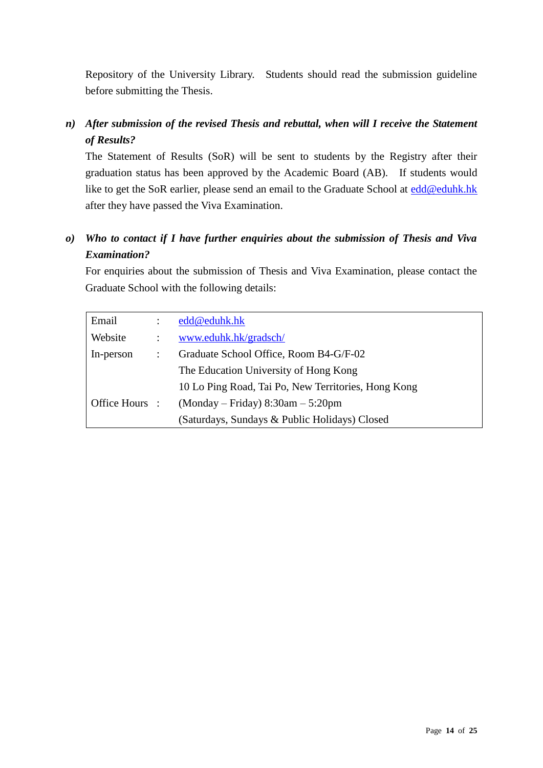Repository of the University Library. Students should read the submission guideline before submitting the Thesis.

# *n) After submission of the revised Thesis and rebuttal, when will I receive the Statement of Results?*

The Statement of Results (SoR) will be sent to students by the Registry after their graduation status has been approved by the Academic Board (AB). If students would like to get the SoR earlier, please send an email to the Graduate School at [edd@eduhk.hk](mailto:edd@ied.edu.hk) after they have passed the Viva Examination.

# *o) Who to contact if I have further enquiries about the submission of Thesis and Viva Examination?*

For enquiries about the submission of Thesis and Viva Examination, please contact the Graduate School with the following details:

| Email          |   | edd@eduhk.hk                                        |
|----------------|---|-----------------------------------------------------|
| Website        |   | www.eduhk.hk/gradsch/                               |
| In-person      | ÷ | Graduate School Office, Room B4-G/F-02              |
|                |   | The Education University of Hong Kong               |
|                |   | 10 Lo Ping Road, Tai Po, New Territories, Hong Kong |
| Office Hours : |   | $(Monday - Friday) 8:30am - 5:20pm$                 |
|                |   | (Saturdays, Sundays & Public Holidays) Closed       |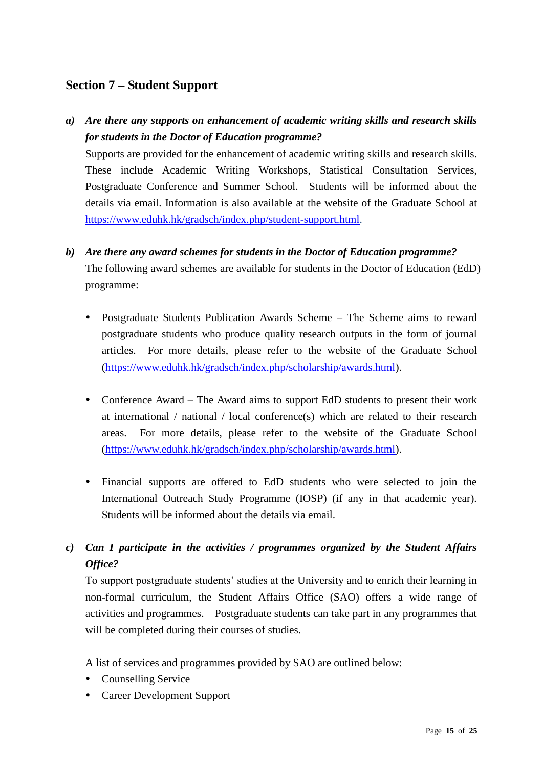# <span id="page-14-0"></span>**Section 7 – Student Support**

# *a) Are there any supports on enhancement of academic writing skills and research skills for students in the Doctor of Education programme?*

Supports are provided for the enhancement of academic writing skills and research skills. These include Academic Writing Workshops, Statistical Consultation Services, Postgraduate Conference and Summer School. Students will be informed about the details via email. Information is also available at the website of the Graduate School at [https://www.eduhk.hk/gradsch/index.php/student-support.html.](https://www.ied.edu.hk/gradsch/index.php/student-support.html)

# *b) Are there any award schemes for students in the Doctor of Education programme?*

The following award schemes are available for students in the Doctor of Education (EdD) programme:

- Postgraduate Students Publication Awards Scheme The Scheme aims to reward postgraduate students who produce quality research outputs in the form of journal articles. For more details, please refer to the website of the Graduate School [\(https://www.eduhk.hk/gradsch/index.php/scholarship/awards.html\)](https://www.ied.edu.hk/gradsch/index.php/scholarship/awards.html).
- Conference Award The Award aims to support EdD students to present their work at international / national / local conference(s) which are related to their research areas. For more details, please refer to the website of the Graduate School [\(https://www.eduhk.hk/gradsch/index.php/scholarship/awards.html\)](https://www.ied.edu.hk/gradsch/index.php/scholarship/awards.html).
- Financial supports are offered to EdD students who were selected to join the International Outreach Study Programme (IOSP) (if any in that academic year). Students will be informed about the details via email.

# *c) Can I participate in the activities / programmes organized by the Student Affairs Office?*

To support postgraduate students' studies at the University and to enrich their learning in non-formal curriculum, the Student Affairs Office (SAO) offers a wide range of activities and programmes. Postgraduate students can take part in any programmes that will be completed during their courses of studies.

A list of services and programmes provided by SAO are outlined below:

- Counselling Service
- Career Development Support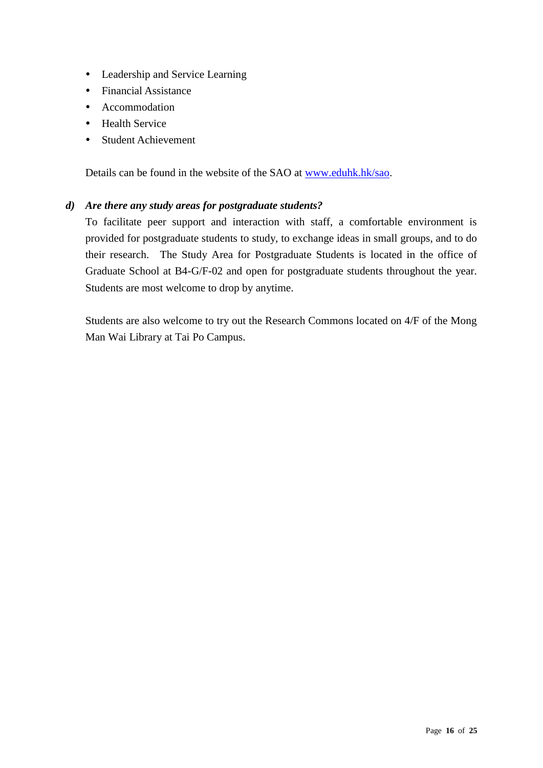- Leadership and Service Learning
- Financial Assistance
- Accommodation
- Health Service
- Student Achievement

Details can be found in the website of the SAO at [www.eduhk.hk/sao.](http://www.ied.edu.hk/sao)

### *d) Are there any study areas for postgraduate students?*

To facilitate peer support and interaction with staff, a comfortable environment is provided for postgraduate students to study, to exchange ideas in small groups, and to do their research. The Study Area for Postgraduate Students is located in the office of Graduate School at B4-G/F-02 and open for postgraduate students throughout the year. Students are most welcome to drop by anytime.

Students are also welcome to try out the Research Commons located on 4/F of the Mong Man Wai Library at Tai Po Campus.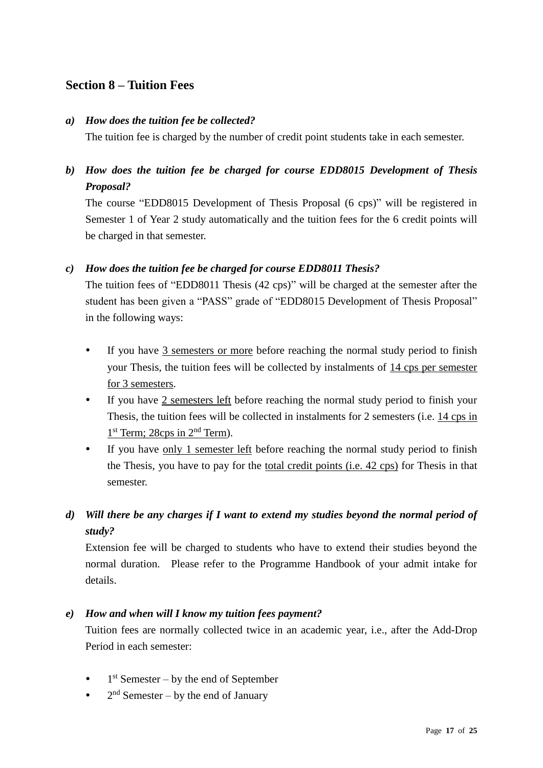# <span id="page-16-0"></span>**Section 8 – Tuition Fees**

### *a) How does the tuition fee be collected?*

The tuition fee is charged by the number of credit point students take in each semester.

*b) How does the tuition fee be charged for course EDD8015 Development of Thesis Proposal?*

The course "EDD8015 Development of Thesis Proposal (6 cps)" will be registered in Semester 1 of Year 2 study automatically and the tuition fees for the 6 credit points will be charged in that semester.

# *c) How does the tuition fee be charged for course EDD8011 Thesis?*

The tuition fees of "EDD8011 Thesis (42 cps)" will be charged at the semester after the student has been given a "PASS" grade of "EDD8015 Development of Thesis Proposal" in the following ways:

- If you have 3 semesters or more before reaching the normal study period to finish your Thesis, the tuition fees will be collected by instalments of 14 cps per semester for 3 semesters.
- If you have 2 semesters left before reaching the normal study period to finish your Thesis, the tuition fees will be collected in instalments for 2 semesters (i.e. 14 cps in 1<sup>st</sup> Term; 28cps in 2<sup>nd</sup> Term).
- If you have only 1 semester left before reaching the normal study period to finish the Thesis, you have to pay for the total credit points (i.e. 42 cps) for Thesis in that semester.

# *d) Will there be any charges if I want to extend my studies beyond the normal period of study?*

Extension fee will be charged to students who have to extend their studies beyond the normal duration. Please refer to the Programme Handbook of your admit intake for details.

### *e) How and when will I know my tuition fees payment?*

Tuition fees are normally collected twice in an academic year, i.e., after the Add-Drop Period in each semester:

- $\bullet$  1<sup>st</sup> Semester by the end of September
- $2<sup>nd</sup>$  Semester by the end of January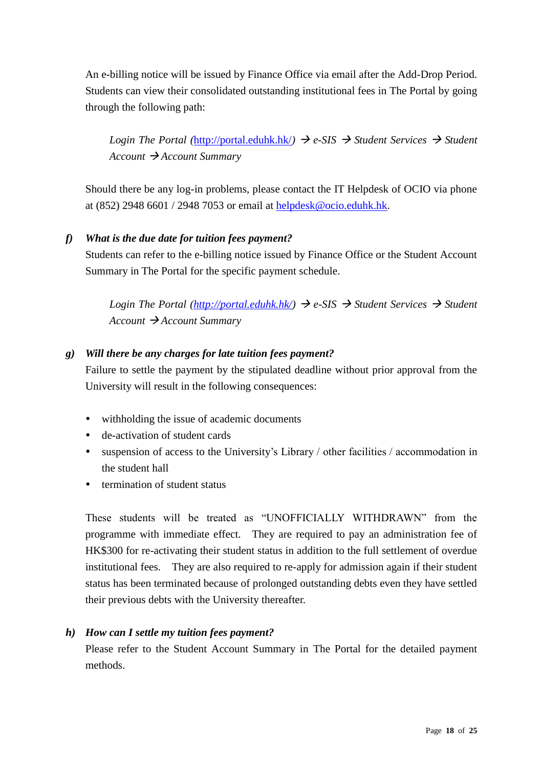An e-billing notice will be issued by Finance Office via email after the Add-Drop Period. Students can view their consolidated outstanding institutional fees in The Portal by going through the following path:

*Login The Portal ([http://portal.eduhk.hk/](https://my2.ied.edu.hk/))*  $\rightarrow$  *e-SIS*  $\rightarrow$  *Student Services*  $\rightarrow$  *Student Account* → *Account Summary*

Should there be any log-in problems, please contact the IT Helpdesk of OCIO via phone at (852) 2948 6601 / 2948 7053 or email at [helpdesk@ocio.eduhk.hk.](mailto:helpdesk@ocio.eduhk.hk)

# *f) What is the due date for tuition fees payment?*

Students can refer to the e-billing notice issued by Finance Office or the Student Account Summary in The Portal for the specific payment schedule.

*Login The Portal [\(http://portal.eduhk.hk/\)](https://my2.ied.edu.hk/)*  $\rightarrow$  *e-SIS*  $\rightarrow$  *Student Services*  $\rightarrow$  *Student Account* → *Account Summary*

# *g) Will there be any charges for late tuition fees payment?*

Failure to settle the payment by the stipulated deadline without prior approval from the University will result in the following consequences:

- withholding the issue of academic documents
- de-activation of student cards
- suspension of access to the University's Library / other facilities / accommodation in the student hall
- termination of student status

These students will be treated as "UNOFFICIALLY WITHDRAWN" from the programme with immediate effect. They are required to pay an administration fee of HK\$300 for re-activating their student status in addition to the full settlement of overdue institutional fees. They are also required to re-apply for admission again if their student status has been terminated because of prolonged outstanding debts even they have settled their previous debts with the University thereafter.

# *h) How can I settle my tuition fees payment?*

Please refer to the Student Account Summary in The Portal for the detailed payment methods.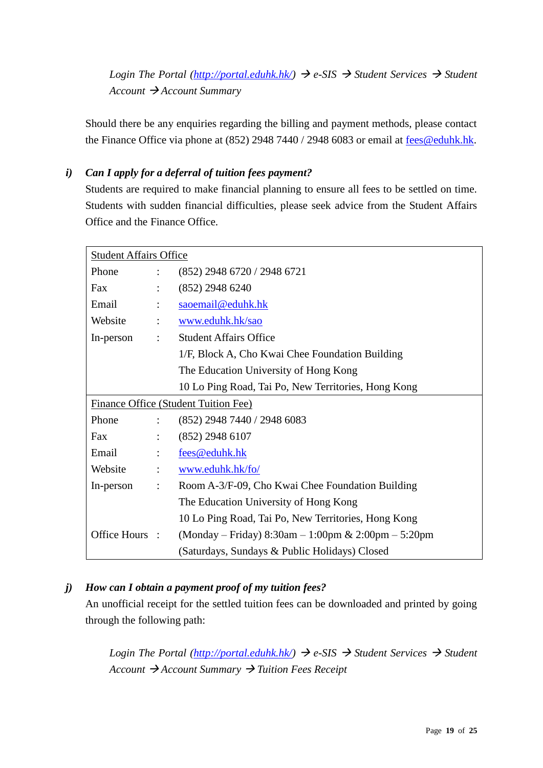*Login The Portal [\(http://portal.eduhk.hk/\)](https://my2.ied.edu.hk/)*  $\rightarrow$  *e-SIS*  $\rightarrow$  *Student Services*  $\rightarrow$  *Student Account* → *Account Summary*

Should there be any enquiries regarding the billing and payment methods, please contact the Finance Office via phone at (852) 2948 7440 / 2948 6083 or email at [fees@eduhk.hk.](mailto:fees@ied.edu.hk)

# *i) Can I apply for a deferral of tuition fees payment?*

Students are required to make financial planning to ensure all fees to be settled on time. Students with sudden financial difficulties, please seek advice from the Student Affairs Office and the Finance Office.

| <b>Student Affairs Office</b> |                      |                                                        |
|-------------------------------|----------------------|--------------------------------------------------------|
| Phone                         | $\ddot{\cdot}$       | (852) 2948 6720 / 2948 6721                            |
| Fax                           |                      | $(852)$ 2948 6240                                      |
| Email                         | $\ddot{\cdot}$       | saoemail@eduhk.hk                                      |
| Website                       | $\ddot{\cdot}$       | www.eduhk.hk/sao                                       |
| In-person                     | $\ddot{\phantom{a}}$ | <b>Student Affairs Office</b>                          |
|                               |                      | 1/F, Block A, Cho Kwai Chee Foundation Building        |
|                               |                      | The Education University of Hong Kong                  |
|                               |                      | 10 Lo Ping Road, Tai Po, New Territories, Hong Kong    |
|                               |                      | Finance Office (Student Tuition Fee)                   |
| Phone                         | $\ddot{\cdot}$       | (852) 2948 7440 / 2948 6083                            |
| Fax                           | $\ddot{\cdot}$       | $(852)$ 2948 6107                                      |
| Email                         | $\ddot{\cdot}$       | fees@eduhk.hk                                          |
| Website                       | $\ddot{\cdot}$       | www.eduhk.hk/fo/                                       |
| In-person                     | $\ddot{\cdot}$       | Room A-3/F-09, Cho Kwai Chee Foundation Building       |
|                               |                      | The Education University of Hong Kong                  |
|                               |                      | 10 Lo Ping Road, Tai Po, New Territories, Hong Kong    |
| Office Hours :                |                      | (Monday – Friday) $8:30$ am – 1:00pm & 2:00pm – 5:20pm |
|                               |                      | (Saturdays, Sundays & Public Holidays) Closed          |

# *j) How can I obtain a payment proof of my tuition fees?*

An unofficial receipt for the settled tuition fees can be downloaded and printed by going through the following path:

*Login The Portal*  $\langle \text{http://portal.eduhk.hk/}\rangle \rightarrow e\text{-SIS} \rightarrow \text{Student Services} \rightarrow \text{Student}$ *Account* → *Account Summary* → *Tuition Fees Receipt*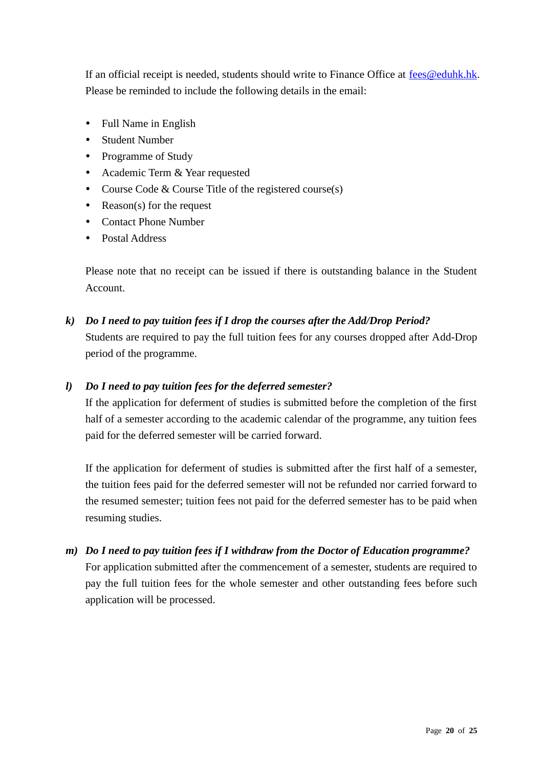If an official receipt is needed, students should write to Finance Office at [fees@eduhk.hk.](mailto:fees@ied.edu.hk) Please be reminded to include the following details in the email:

- Full Name in English
- Student Number
- Programme of Study
- Academic Term & Year requested
- Course Code  $&$  Course Title of the registered course(s)
- Reason(s) for the request
- Contact Phone Number
- Postal Address

Please note that no receipt can be issued if there is outstanding balance in the Student Account.

*k) Do I need to pay tuition fees if I drop the courses after the Add/Drop Period?* Students are required to pay the full tuition fees for any courses dropped after Add-Drop period of the programme.

# *l) Do I need to pay tuition fees for the deferred semester?*

If the application for deferment of studies is submitted before the completion of the first half of a semester according to the academic calendar of the programme, any tuition fees paid for the deferred semester will be carried forward.

If the application for deferment of studies is submitted after the first half of a semester, the tuition fees paid for the deferred semester will not be refunded nor carried forward to the resumed semester; tuition fees not paid for the deferred semester has to be paid when resuming studies.

*m) Do I need to pay tuition fees if I withdraw from the Doctor of Education programme?* For application submitted after the commencement of a semester, students are required to pay the full tuition fees for the whole semester and other outstanding fees before such application will be processed.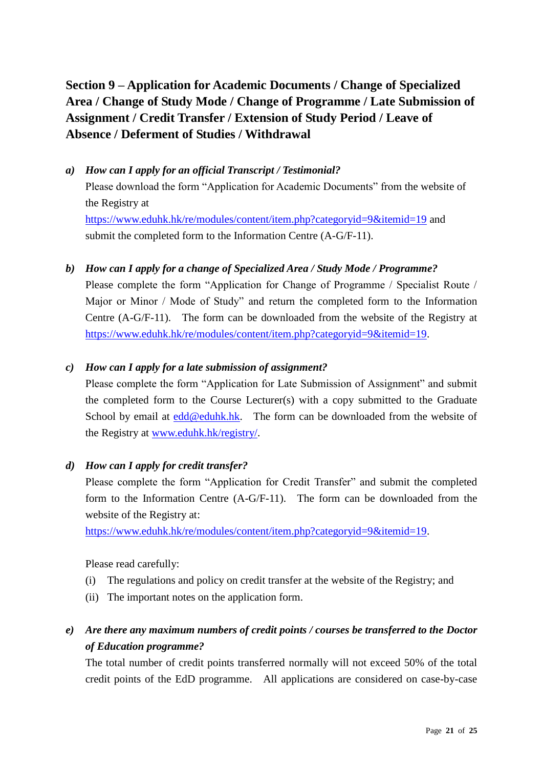# <span id="page-20-0"></span>**Section 9 – Application for Academic Documents / Change of Specialized Area / Change of Study Mode / Change of Programme / Late Submission of Assignment / Credit Transfer / Extension of Study Period / Leave of Absence / Deferment of Studies / Withdrawal**

*a) How can I apply for an official Transcript / Testimonial?* Please download the form "Application for Academic Documents" from the website of the Registry at <https://www.eduhk.hk/re/modules/content/item.php?categoryid=9&itemid=19> and submit the completed form to the Information Centre (A-G/F-11).

### *b) How can I apply for a change of Specialized Area / Study Mode / Programme?*

Please complete the form "Application for Change of Programme / Specialist Route / Major or Minor / Mode of Study" and return the completed form to the Information Centre (A-G/F-11). The form can be downloaded from the website of the Registry at [https://www.eduhk.hk/re/modules/content/item.php?categoryid=9&itemid=19.](https://www.eduhk.hk/re/modules/content/item.php?categoryid=9&itemid=19)

### *c) How can I apply for a late submission of assignment?*

Please complete the form "Application for Late Submission of Assignment" and submit the completed form to the Course Lecturer(s) with a copy submitted to the Graduate School by email at  $edd@eduhk.hk$ . The form can be downloaded from the website of the Registry at [www.eduhk.hk/registry/.](http://www.ied.edu.hk/registry/)

#### *d) How can I apply for credit transfer?*

Please complete the form "Application for Credit Transfer" and submit the completed form to the Information Centre (A-G/F-11). The form can be downloaded from the website of the Registry at:

[https://www.eduhk.hk/re/modules/content/item.php?categoryid=9&itemid=19.](https://www.eduhk.hk/re/modules/content/item.php?categoryid=9&itemid=19)

Please read carefully:

- (i) The regulations and policy on credit transfer at the website of the Registry; and
- (ii) The important notes on the application form.

# *e) Are there any maximum numbers of credit points / courses be transferred to the Doctor of Education programme?*

The total number of credit points transferred normally will not exceed 50% of the total credit points of the EdD programme. All applications are considered on case-by-case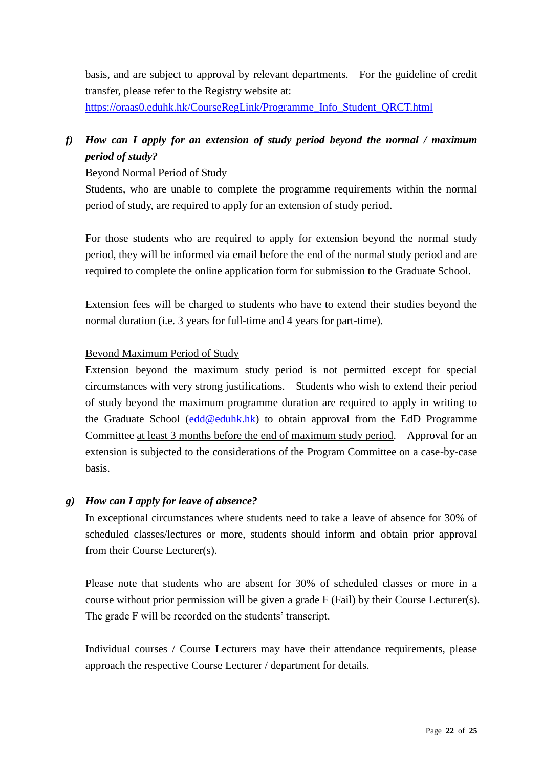basis, and are subject to approval by relevant departments. For the guideline of credit transfer, please refer to the Registry website at:

[https://oraas0.eduhk.hk/CourseRegLink/Programme\\_Info\\_Student\\_QRCT.html](https://oraas0.ied.edu.hk/CourseRegLink/Programme_Info_Student_QRCT.html)

# *f) How can I apply for an extension of study period beyond the normal / maximum period of study?*

# Beyond Normal Period of Study

Students, who are unable to complete the programme requirements within the normal period of study, are required to apply for an extension of study period.

For those students who are required to apply for extension beyond the normal study period, they will be informed via email before the end of the normal study period and are required to complete the online application form for submission to the Graduate School.

Extension fees will be charged to students who have to extend their studies beyond the normal duration (i.e. 3 years for full-time and 4 years for part-time).

# Beyond Maximum Period of Study

Extension beyond the maximum study period is not permitted except for special circumstances with very strong justifications. Students who wish to extend their period of study beyond the maximum programme duration are required to apply in writing to the Graduate School [\(edd@eduhk.hk\)](mailto:edd@ied.edu.hk) to obtain approval from the EdD Programme Committee at least 3 months before the end of maximum study period. Approval for an extension is subjected to the considerations of the Program Committee on a case-by-case basis.

# *g) How can I apply for leave of absence?*

In exceptional circumstances where students need to take a leave of absence for 30% of scheduled classes/lectures or more, students should inform and obtain prior approval from their Course Lecturer(s).

Please note that students who are absent for 30% of scheduled classes or more in a course without prior permission will be given a grade F (Fail) by their Course Lecturer(s). The grade F will be recorded on the students' transcript.

Individual courses / Course Lecturers may have their attendance requirements, please approach the respective Course Lecturer / department for details.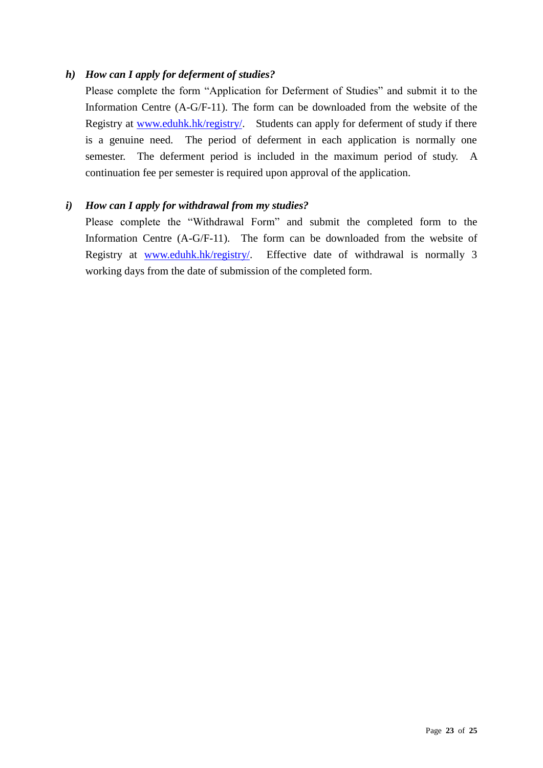# *h) How can I apply for deferment of studies?*

Please complete the form "Application for Deferment of Studies" and submit it to the Information Centre (A-G/F-11). The form can be downloaded from the website of the Registry at [www.eduhk.hk/registry/.](https://www.ied.edu.hk/registry/) Students can apply for deferment of study if there is a genuine need. The period of deferment in each application is normally one semester. The deferment period is included in the maximum period of study. A continuation fee per semester is required upon approval of the application.

# *i) How can I apply for withdrawal from my studies?*

Please complete the "Withdrawal Form" and submit the completed form to the Information Centre (A-G/F-11). The form can be downloaded from the website of Registry at [www.eduhk.hk/registry/.](https://www.ied.edu.hk/registry/) Effective date of withdrawal is normally 3 working days from the date of submission of the completed form.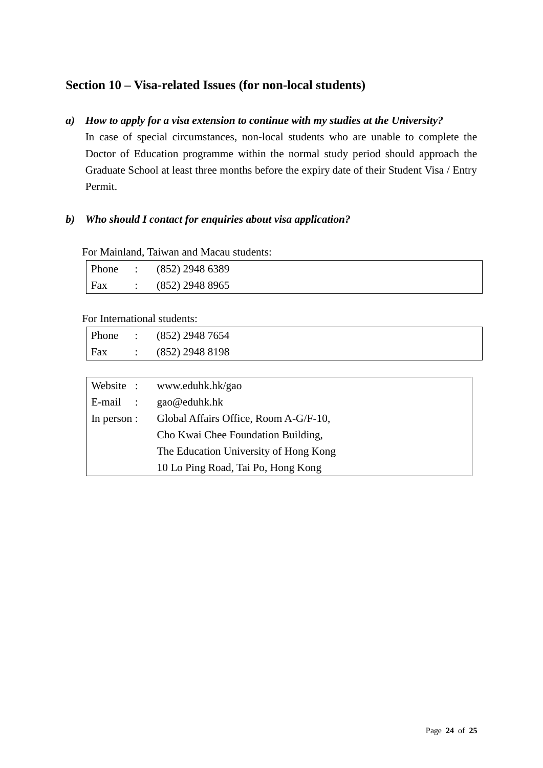# <span id="page-23-0"></span>**Section 10 – Visa-related Issues (for non-local students)**

*a) How to apply for a visa extension to continue with my studies at the University?*

In case of special circumstances, non-local students who are unable to complete the Doctor of Education programme within the normal study period should approach the Graduate School at least three months before the expiry date of their Student Visa / Entry Permit.

# *b) Who should I contact for enquiries about visa application?*

For Mainland, Taiwan and Macau students:

|     |                          | Phone : $(852)$ 2948 6389 |
|-----|--------------------------|---------------------------|
| Fax | <b>Contract Contract</b> | (852) 2948 8965           |

For International students:

|     | Phone : $(852)$ 2948 7654 |
|-----|---------------------------|
| Fax | $(852)$ 2948 8198         |

|             | Website : www.eduhk.hk/gao                                                  |  |
|-------------|-----------------------------------------------------------------------------|--|
| $E$ -mail:  | gao@eduhk.hk                                                                |  |
| In person : | Global Affairs Office, Room A-G/F-10,                                       |  |
|             | Cho Kwai Chee Foundation Building,<br>The Education University of Hong Kong |  |
|             |                                                                             |  |
|             | 10 Lo Ping Road, Tai Po, Hong Kong                                          |  |